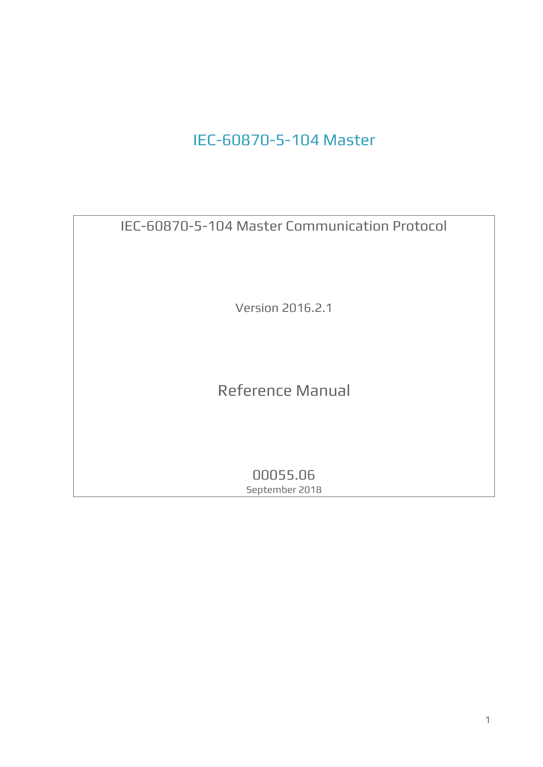# IEC-60870-5-104 Master

IEC-60870-5-104 Master Communication Protocol

Version 2016.2.1

Reference Manual

00055.06 September 2018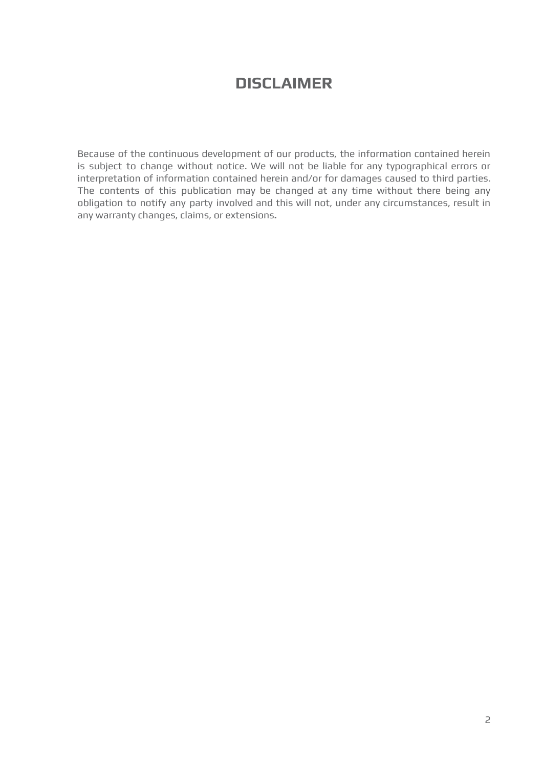# **DISCLAIMER**

Because of the continuous development of our products, the information contained herein is subject to change without notice. We will not be liable for any typographical errors or interpretation of information contained herein and/or for damages caused to third parties. The contents of this publication may be changed at any time without there being any obligation to notify any party involved and this will not, under any circumstances, result in any warranty changes, claims, or extensions**.**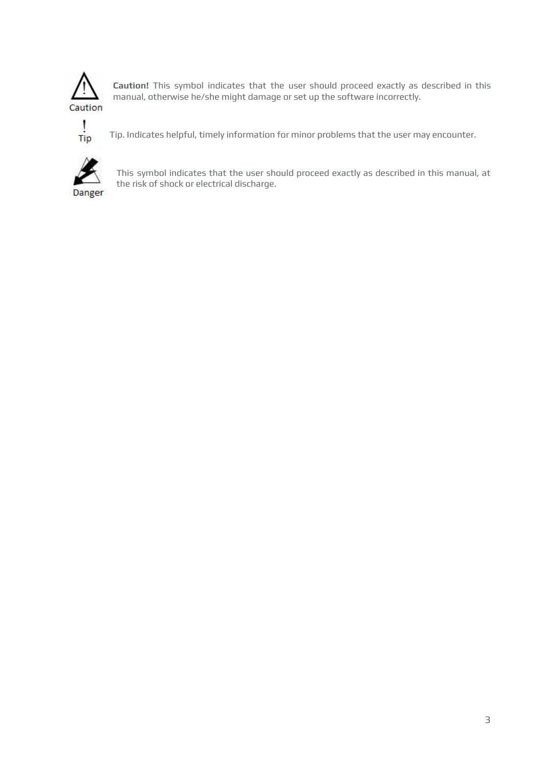

**Caution!** This symbol indicates that the user should proceed exactly as described in this manual, otherwise he/she might damage or set up the software incorrectly.



Tip. Indicates helpful, timely information for minor problems that the user may encounter.



This symbol indicates that the user should proceed exactly as described in this manual, at the risk of shock or electrical discharge.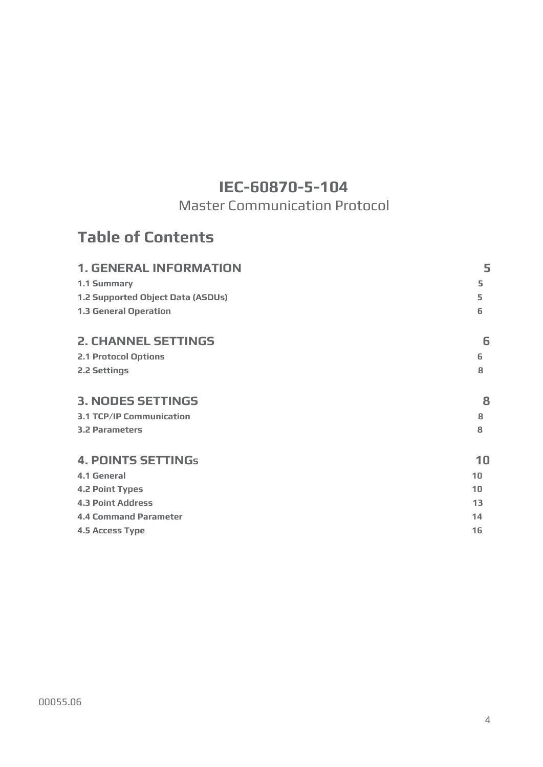# **IEC-60870-5-104**

Master Communication Protocol

# **Table of Contents**

| <b>1. GENERAL INFORMATION</b>     | 5  |
|-----------------------------------|----|
| 1.1 Summary                       | 5  |
| 1.2 Supported Object Data (ASDUs) | 5  |
| <b>1.3 General Operation</b>      | 6  |
| <b>2. CHANNEL SETTINGS</b>        | 6  |
| <b>2.1 Protocol Options</b>       | 6  |
| 2.2 Settings                      | 8  |
| <b>3. NODES SETTINGS</b>          | 8  |
| <b>3.1 TCP/IP Communication</b>   | 8  |
| <b>3.2 Parameters</b>             | 8  |
| <b>4. POINTS SETTINGs</b>         | 10 |
| <b>4.1 General</b>                | 10 |
| <b>4.2 Point Types</b>            | 10 |
| <b>4.3 Point Address</b>          | 13 |
| <b>4.4 Command Parameter</b>      | 14 |
| <b>4.5 Access Type</b>            | 16 |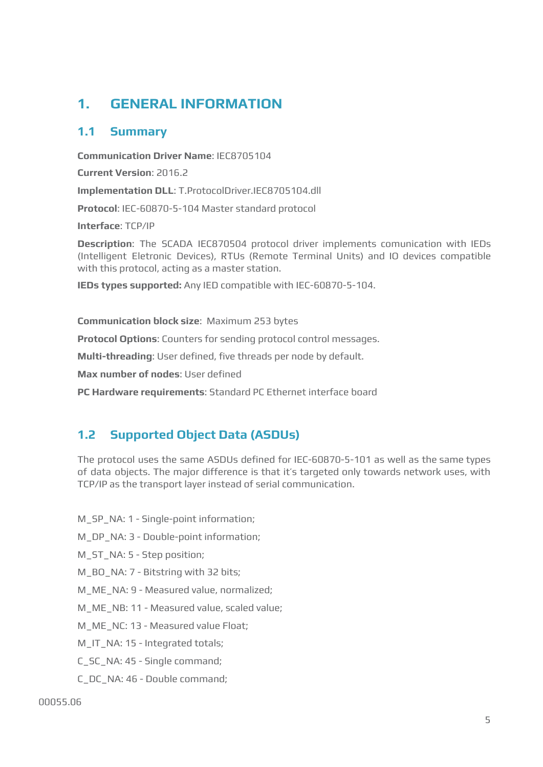# <span id="page-4-0"></span>**1. GENERAL INFORMATION**

### <span id="page-4-1"></span>**1.1 Summary**

**Communication Driver Name**: IEC8705104

**Current Version**: 2016.2

**Implementation DLL**: T.ProtocolDriver.IEC8705104.dll

**Protocol**: IEC-60870-5-104 Master standard protocol

**Interface**: TCP/IP

**Description**: The SCADA IEC870504 protocol driver implements comunication with IEDs (Intelligent Eletronic Devices), RTUs (Remote Terminal Units) and IO devices compatible with this protocol, acting as a master station.

**IEDs types supported:** Any IED compatible with IEC-60870-5-104.

**Communication block size**: Maximum 253 bytes

**Protocol Options**: Counters for sending protocol control messages.

**Multi-threading**: User defined, five threads per node by default.

**Max number of nodes**: User defined

**PC Hardware requirements**: Standard PC Ethernet interface board

# <span id="page-4-2"></span>**1.2 Supported Object Data (ASDUs)**

The protocol uses the same ASDUs defined for IEC-60870-5-101 as well as the same types of data objects. The major difference is that it's targeted only towards network uses, with TCP/IP as the transport layer instead of serial communication.

M\_SP\_NA: 1 - Single-point information;

M\_DP\_NA: 3 - Double-point information;

M\_ST\_NA: 5 - Step position;

M\_BO\_NA: 7 - Bitstring with 32 bits;

M\_ME\_NA: 9 - Measured value, normalized;

M\_ME\_NB: 11 - Measured value, scaled value;

M\_ME\_NC: 13 - Measured value Float;

M\_IT\_NA: 15 - Integrated totals;

C\_SC\_NA: 45 - Single command;

C\_DC\_NA: 46 - Double command;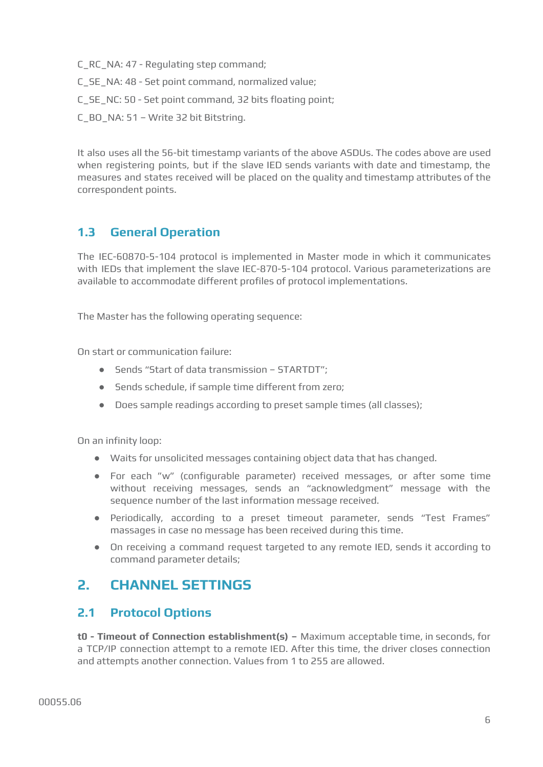C\_RC\_NA: 47 - Regulating step command;

- C\_SE\_NA: 48 Set point command, normalized value;
- C\_SE\_NC: 50 Set point command, 32 bits floating point;
- C\_BO\_NA: 51 Write 32 bit Bitstring.

It also uses all the 56-bit timestamp variants of the above ASDUs. The codes above are used when registering points, but if the slave IED sends variants with date and timestamp, the measures and states received will be placed on the quality and timestamp attributes of the correspondent points.

# <span id="page-5-0"></span>**1.3 General Operation**

The IEC-60870-5-104 protocol is implemented in Master mode in which it communicates with IEDs that implement the slave IEC-870-5-104 protocol. Various parameterizations are available to accommodate different profiles of protocol implementations.

The Master has the following operating sequence:

On start or communication failure:

- Sends "Start of data transmission STARTDT";
- Sends schedule, if sample time different from zero;
- Does sample readings according to preset sample times (all classes);

On an infinity loop:

- Waits for unsolicited messages containing object data that has changed.
- For each "w" (configurable parameter) received messages, or after some time without receiving messages, sends an "acknowledgment" message with the sequence number of the last information message received.
- Periodically, according to a preset timeout parameter, sends "Test Frames" massages in case no message has been received during this time.
- On receiving a command request targeted to any remote IED, sends it according to command parameter details;

# <span id="page-5-1"></span>**2. CHANNEL SETTINGS**

## <span id="page-5-2"></span>**2.1 Protocol Options**

**t0 - Timeout of Connection establishment(s) –** Maximum acceptable time, in seconds, for a TCP/IP connection attempt to a remote IED. After this time, the driver closes connection and attempts another connection. Values from 1 to 255 are allowed.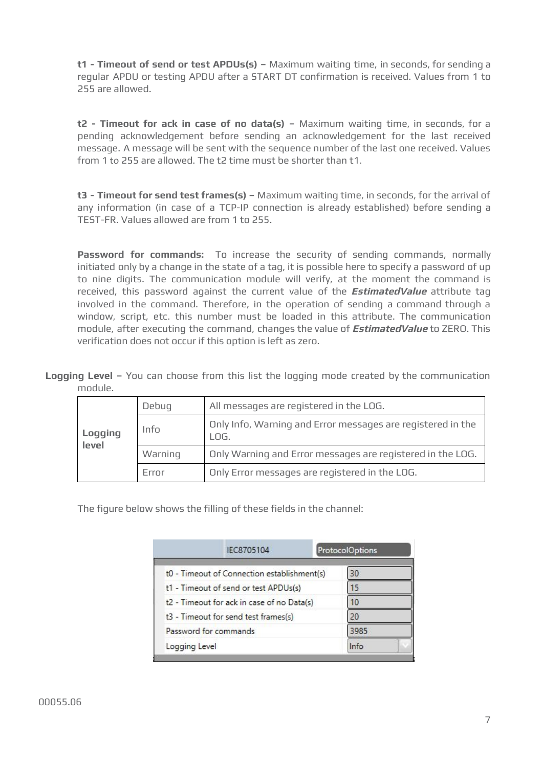**t1 - Timeout of send or test APDUs(s) –** Maximum waiting time, in seconds, for sending a regular APDU or testing APDU after a START DT confirmation is received. Values from 1 to 255 are allowed.

**t2 - Timeout for ack in case of no data(s) –** Maximum waiting time, in seconds, for a pending acknowledgement before sending an acknowledgement for the last received message. A message will be sent with the sequence number of the last one received. Values from 1 to 255 are allowed. The t2 time must be shorter than t1.

**t3 - Timeout for send test frames(s) –** Maximum waiting time, in seconds, for the arrival of any information (in case of a TCP-IP connection is already established) before sending a TEST-FR. Values allowed are from 1 to 255.

**Password for commands:** To increase the security of sending commands, normally initiated only by a change in the state of a tag, it is possible here to specify a password of up to nine digits. The communication module will verify, at the moment the command is received, this password against the current value of the **EstimatedValue** attribute tag involved in the command. Therefore, in the operation of sending a command through a window, script, etc. this number must be loaded in this attribute. The communication module, after executing the command, changes the value of **EstimatedValue** to ZERO. This verification does not occur if this option is left as zero.

**Logging Level –** You can choose from this list the logging mode created by the communication module.

|                  | Debug   | All messages are registered in the LOG.                             |
|------------------|---------|---------------------------------------------------------------------|
| Logging<br>level | Info    | Only Info, Warning and Error messages are registered in the<br>LOG. |
|                  | Warning | Only Warning and Error messages are registered in the LOG.          |
|                  | Frror   | Only Error messages are registered in the LOG.                      |

The figure below shows the filling of these fields in the channel:

|                       | IEC8705104                                  |  | ProtocolOptions |  |
|-----------------------|---------------------------------------------|--|-----------------|--|
|                       | t0 - Timeout of Connection establishment(s) |  | 30              |  |
|                       | t1 - Timeout of send or test APDUs(s)       |  | 15              |  |
|                       | t2 - Timeout for ack in case of no Data(s)  |  | 10              |  |
|                       | t3 - Timeout for send test frames(s)        |  | 20              |  |
| Password for commands |                                             |  | 3985            |  |
| Logging Level         |                                             |  | Info            |  |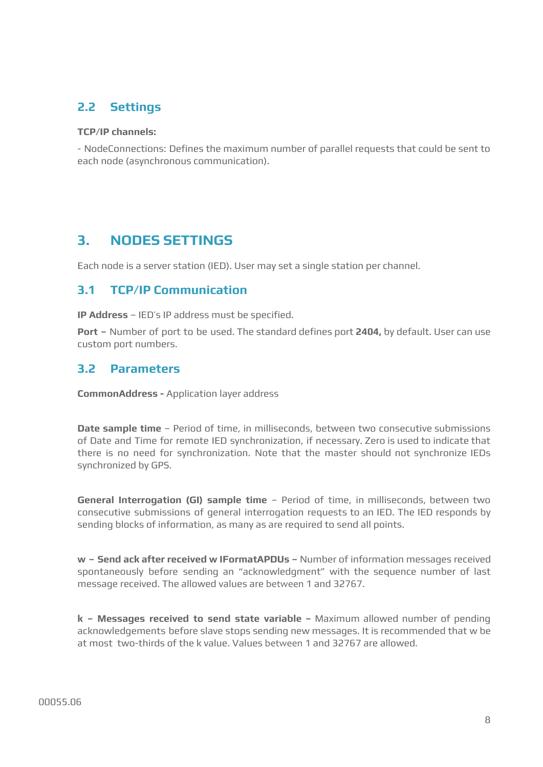# <span id="page-7-0"></span>**2.2 Settings**

#### **TCP/IP channels:**

- NodeConnections: Defines the maximum number of parallel requests that could be sent to each node (asynchronous communication).

# <span id="page-7-1"></span>**3. NODES SETTINGS**

Each node is a server station (IED). User may set a single station per channel.

### <span id="page-7-2"></span>**3.1 TCP/IP Communication**

**IP Address** – IED's IP address must be specified.

**Port –** Number of port to be used. The standard defines port **2404,** by default. User can use custom port numbers.

#### <span id="page-7-3"></span>**3.2 Parameters**

**CommonAddress -** Application layer address

**Date sample time** – Period of time, in milliseconds, between two consecutive submissions of Date and Time for remote IED synchronization, if necessary. Zero is used to indicate that there is no need for synchronization. Note that the master should not synchronize IEDs synchronized by GPS.

**General Interrogation (GI) sample time** – Period of time, in milliseconds, between two consecutive submissions of general interrogation requests to an IED. The IED responds by sending blocks of information, as many as are required to send all points.

**w – Send ack after received w IFormatAPDUs –** Number of information messages received spontaneously before sending an "acknowledgment" with the sequence number of last message received. The allowed values are between 1 and 32767.

**k – Messages received to send state variable –** Maximum allowed number of pending acknowledgements before slave stops sending new messages. It is recommended that w be at most two-thirds of the k value. Values between 1 and 32767 are allowed.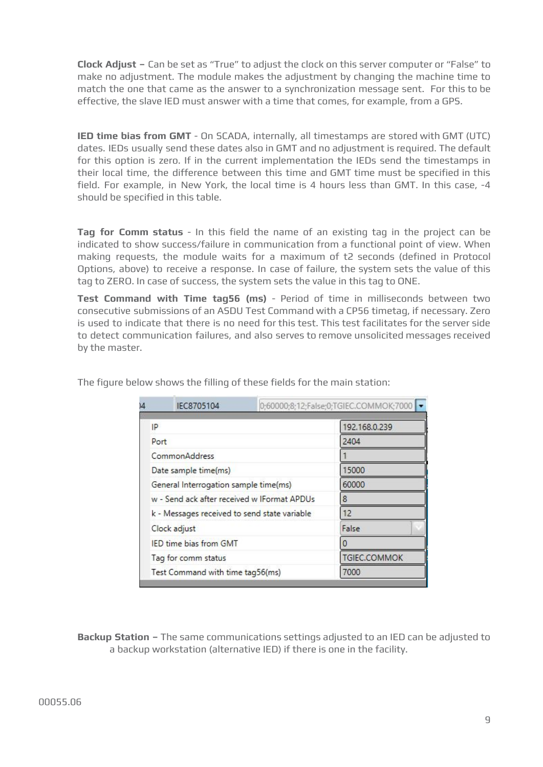**Clock Adjust –** Can be set as "True" to adjust the clock on this server computer or "False" to make no adjustment. The module makes the adjustment by changing the machine time to match the one that came as the answer to a synchronization message sent. For this to be effective, the slave IED must answer with a time that comes, for example, from a GPS.

**IED time bias from GMT** - On SCADA, internally, all timestamps are stored with GMT (UTC) dates. IEDs usually send these dates also in GMT and no adjustment is required. The default for this option is zero. If in the current implementation the IEDs send the timestamps in their local time, the difference between this time and GMT time must be specified in this field. For example, in New York, the local time is 4 hours less than GMT. In this case, -4 should be specified in this table.

**Tag for Comm status** - In this field the name of an existing tag in the project can be indicated to show success/failure in communication from a functional point of view. When making requests, the module waits for a maximum of t2 seconds (defined in Protocol Options, above) to receive a response. In case of failure, the system sets the value of this tag to ZERO. In case of success, the system sets the value in this tag to ONE.

**Test Command with Time tag56 (ms)** - Period of time in milliseconds between two consecutive submissions of an ASDU Test Command with a CP56 timetag, if necessary. Zero is used to indicate that there is no need for this test. This test facilitates for the server side to detect communication failures, and also serves to remove unsolicited messages received by the master.

| $\overline{4}$ | IEC8705104                                   | 0;60000;8;12;False;0;TGIEC.COMMOK;7000      |               |  |  |  |
|----------------|----------------------------------------------|---------------------------------------------|---------------|--|--|--|
| IP             |                                              |                                             | 192.168.0.239 |  |  |  |
| Port           |                                              |                                             | 2404          |  |  |  |
|                | CommonAddress                                |                                             |               |  |  |  |
|                | Date sample time(ms)                         |                                             | 15000         |  |  |  |
|                | General Interrogation sample time(ms)        |                                             | 60000         |  |  |  |
|                |                                              | w - Send ack after received w IFormat APDUs | 8             |  |  |  |
|                | k - Messages received to send state variable |                                             | 12            |  |  |  |
|                | Clock adjust                                 |                                             | False         |  |  |  |
|                | IED time bias from GMT                       |                                             |               |  |  |  |
|                | Tag for comm status                          |                                             | TGIEC.COMMOK  |  |  |  |
|                | Test Command with time tag56(ms)             |                                             | 7000          |  |  |  |

The figure below shows the filling of these fields for the main station:

**Backup Station –** The same communications settings adjusted to an IED can be adjusted to a backup workstation (alternative IED) if there is one in the facility.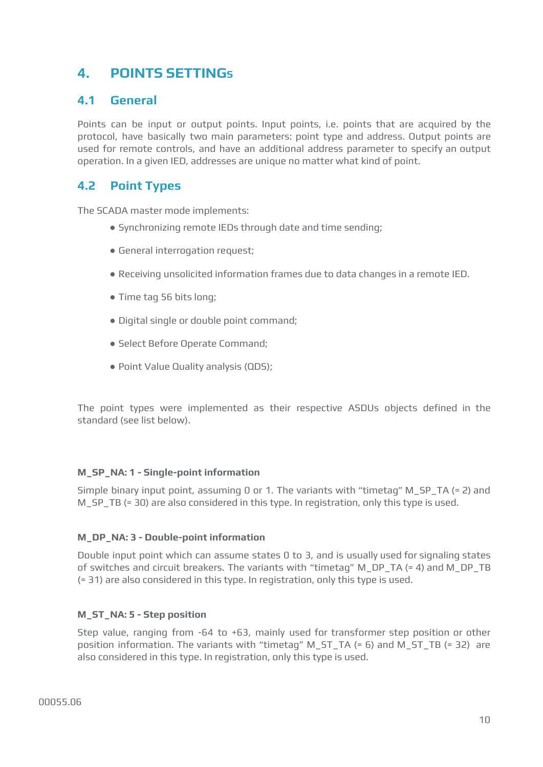# <span id="page-9-0"></span>**4. POINTS SETTINGS**

## <span id="page-9-1"></span>**4.1 General**

Points can be input or output points. Input points, i.e. points that are acquired by the protocol, have basically two main parameters: point type and address. Output points are used for remote controls, and have an additional address parameter to specify an output operation. In a given IED, addresses are unique no matter what kind of point.

### <span id="page-9-2"></span>**4.2 Point Types**

The SCADA master mode implements:

- Synchronizing remote IEDs through date and time sending;
- General interrogation request;
- Receiving unsolicited information frames due to data changes in a remote IED.
- Time tag 56 bits long;
- Digital single or double point command;
- Select Before Operate Command;
- Point Value Quality analysis (QDS);

The point types were implemented as their respective ASDUs objects defined in the standard (see list below).

#### **M\_SP\_NA: 1 - Single-point information**

Simple binary input point, assuming 0 or 1. The variants with "timetag" M\_SP\_TA (= 2) and M\_SP\_TB (= 30) are also considered in this type. In registration, only this type is used.

#### **M\_DP\_NA: 3 - Double-point information**

Double input point which can assume states 0 to 3, and is usually used for signaling states of switches and circuit breakers. The variants with "timetag" M\_DP\_TA (= 4) and M\_DP\_TB (= 31) are also considered in this type. In registration, only this type is used.

#### **M\_ST\_NA: 5 - Step position**

Step value, ranging from -64 to +63, mainly used for transformer step position or other position information. The variants with "timetag" M\_ST\_TA (= 6) and M\_ST\_TB (= 32) are also considered in this type. In registration, only this type is used.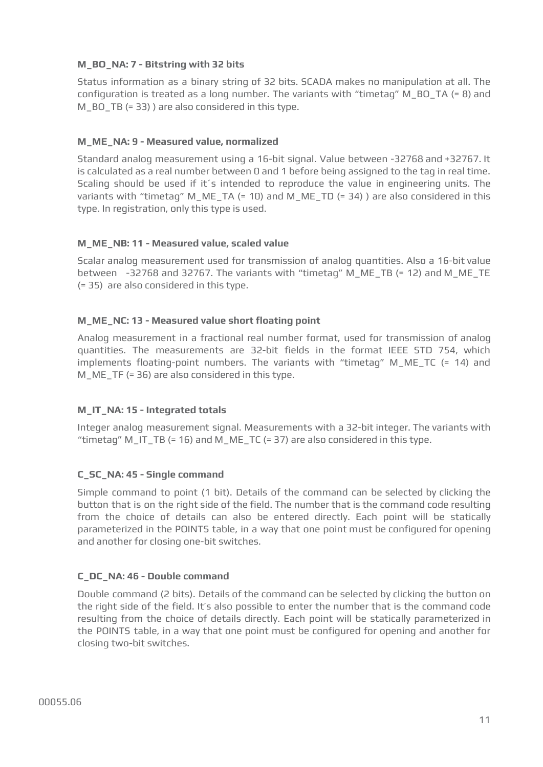#### **M\_BO\_NA: 7 - Bitstring with 32 bits**

Status information as a binary string of 32 bits. SCADA makes no manipulation at all. The configuration is treated as a long number. The variants with "timetag" M\_BO\_TA (= 8) and M\_BO\_TB (= 33) ) are also considered in this type.

#### **M\_ME\_NA: 9 - Measured value, normalized**

Standard analog measurement using a 16-bit signal. Value between -32768 and +32767. It is calculated as a real number between 0 and 1 before being assigned to the tag in real time. Scaling should be used if it´s intended to reproduce the value in engineering units. The variants with "timetag" M\_ME\_TA (= 10) and M\_ME\_TD (= 34) ) are also considered in this type. In registration, only this type is used.

#### **M\_ME\_NB: 11 - Measured value, scaled value**

Scalar analog measurement used for transmission of analog quantities. Also a 16-bit value between -32768 and 32767. The variants with "timetag" M\_ME\_TB (= 12) and M\_ME\_TE (= 35) are also considered in this type.

#### **M\_ME\_NC: 13 - Measured value short floating point**

Analog measurement in a fractional real number format, used for transmission of analog quantities. The measurements are 32-bit fields in the format IEEE STD 754, which implements floating-point numbers. The variants with "timetag" M\_ME\_TC (= 14) and M\_ME\_TF (= 36) are also considered in this type.

#### **M\_IT\_NA: 15 - Integrated totals**

Integer analog measurement signal. Measurements with a 32-bit integer. The variants with "timetag" M\_IT\_TB (= 16) and M\_ME\_TC (= 37) are also considered in this type.

#### **C\_SC\_NA: 45 - Single command**

Simple command to point (1 bit). Details of the command can be selected by clicking the button that is on the right side of the field. The number that is the command code resulting from the choice of details can also be entered directly. Each point will be statically parameterized in the POINTS table, in a way that one point must be configured for opening and another for closing one-bit switches.

#### **C\_DC\_NA: 46 - Double command**

Double command (2 bits). Details of the command can be selected by clicking the button on the right side of the field. It's also possible to enter the number that is the command code resulting from the choice of details directly. Each point will be statically parameterized in the POINTS table, in a way that one point must be configured for opening and another for closing two-bit switches.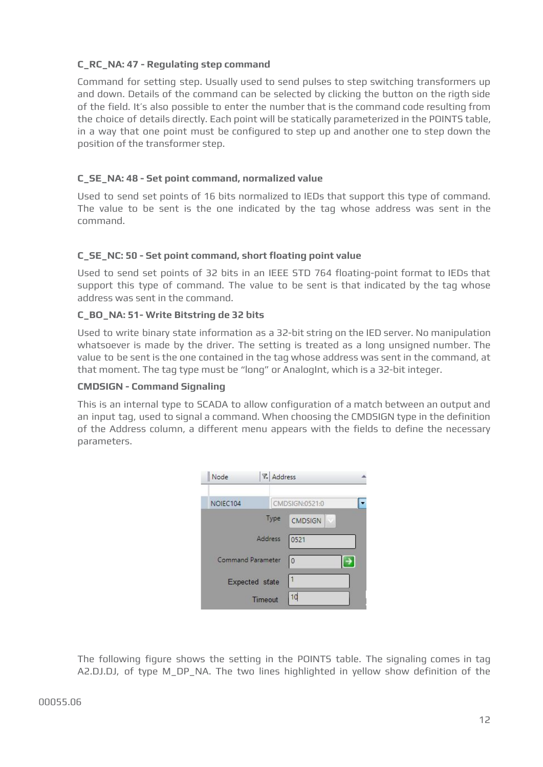#### **C\_RC\_NA: 47 - Regulating step command**

Command for setting step. Usually used to send pulses to step switching transformers up and down. Details of the command can be selected by clicking the button on the rigth side of the field. It's also possible to enter the number that is the command code resulting from the choice of details directly. Each point will be statically parameterized in the POINTS table, in a way that one point must be configured to step up and another one to step down the position of the transformer step.

#### **C\_SE\_NA: 48 - Set point command, normalized value**

Used to send set points of 16 bits normalized to IEDs that support this type of command. The value to be sent is the one indicated by the tag whose address was sent in the command.

#### **C\_SE\_NC: 50 - Set point command, short floating point value**

Used to send set points of 32 bits in an IEEE STD 764 floating-point format to IEDs that support this type of command. The value to be sent is that indicated by the tag whose address was sent in the command.

#### **C\_BO\_NA: 51- Write Bitstring de 32 bits**

Used to write binary state information as a 32-bit string on the IED server. No manipulation whatsoever is made by the driver. The setting is treated as a long unsigned number. The value to be sent is the one contained in the tag whose address was sent in the command, at that moment. The tag type must be "long" or AnalogInt, which is a 32-bit integer.

#### **CMDSIGN - Command Signaling**

This is an internal type to SCADA to allow configuration of a match between an output and an input tag, used to signal a command. When choosing the CMDSIGN type in the definition of the Address column, a different menu appears with the fields to define the necessary parameters.



The following figure shows the setting in the POINTS table. The signaling comes in tag A2.DJ.DJ, of type M\_DP\_NA. The two lines highlighted in yellow show definition of the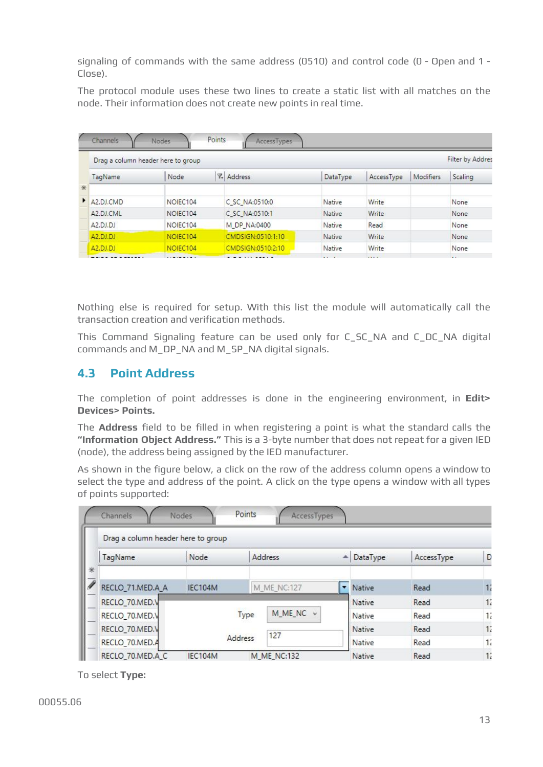signaling of commands with the same address (0510) and control code (0 - Open and 1 - Close).

The protocol module uses these two lines to create a static list with all matches on the node. Their information does not create new points in real time.

|          |                                    |          |            |           | Filter by Addres |
|----------|------------------------------------|----------|------------|-----------|------------------|
| Node     | ₹.<br>Address                      | DataType | AccessType | Modifiers | Scaling          |
|          |                                    |          |            |           |                  |
| NOIEC104 | C_SC_NA:0510:0                     | Native   | Write      |           | None             |
| NOIEC104 | C SC NA:0510:1                     | Native   | Write      |           | None             |
| NOIEC104 | M DP NA:0400                       | Native   | Read       |           | None             |
| NOIEC104 | CMDSIGN:0510:1:10                  | Native   | Write      |           | None             |
| NOIEC104 | CMDSIGN:0510:2:10                  | Native   | Write      |           | None             |
|          | Drag a column header here to group |          |            |           |                  |

Nothing else is required for setup. With this list the module will automatically call the transaction creation and verification methods.

This Command Signaling feature can be used only for C\_SC\_NA and C\_DC\_NA digital commands and M\_DP\_NA and M\_SP\_NA digital signals.

# <span id="page-12-0"></span>**4.3 Point Address**

The completion of point addresses is done in the engineering environment, in **Edit> Devices> Points.**

The **Address** field to be filled in when registering a point is what the standard calls the **"Information Object Address."** This is a 3-byte number that does not repeat for a given IED (node), the address being assigned by the IED manufacturer.

As shown in the figure below, a click on the row of the address column opens a window to select the type and address of the point. A click on the type opens a window with all types of points supported:

|   | Channels<br>Drag a column header here to group | <b>Nodes</b> | Points<br>AccessTypes |          |            |    |
|---|------------------------------------------------|--------------|-----------------------|----------|------------|----|
| * | TagName                                        | Node         | <b>Address</b>        | DataType | AccessType | D  |
| 7 | RECLO_71.MED.A_A                               | IEC104M      | <b>M_ME_NC:127</b>    | Native   | Read       | 12 |
|   | RECLO_70.MED.V                                 |              |                       | Native   | Read       | 12 |
|   | RECLO_70.MED.V                                 |              | M_ME_NC v<br>Type     | Native   | Read       | 12 |
|   | RECLO_70.MED.V                                 |              | 127                   | Native   | Read       | 12 |
|   | RECLO_70.MED.A                                 |              | <b>Address</b>        | Native   | Read       | 12 |
|   | RECLO_70.MED.A_C                               | IEC104M      | <b>M ME NC:132</b>    | Native   | Read       | 12 |

To select **Type:**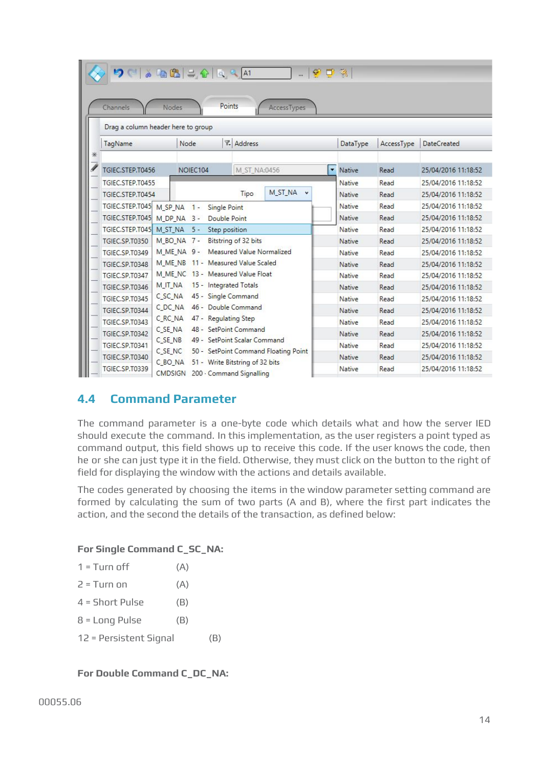| $9< a +2< a $<br>Channels<br>Nodes<br>Drag a column header here to group | Points                             | AccessTypes                                                          | 守口院 |               |            |                     |
|--------------------------------------------------------------------------|------------------------------------|----------------------------------------------------------------------|-----|---------------|------------|---------------------|
| TagName                                                                  | Node                               | <b>7.</b> Address                                                    |     | DataType      | AccessType | <b>DateCreated</b>  |
| ⋇                                                                        |                                    |                                                                      |     |               |            |                     |
| TGIEC.STEP.T0456                                                         | NOIEC104                           | M ST NA:0456                                                         | ۰   | Native        | Read       | 25/04/2016 11:18:52 |
| TGIFC.STFP.T0455                                                         |                                    |                                                                      |     | Native        | Read       | 25/04/2016 11:18:52 |
| TGIEC.STEP.T0454                                                         |                                    | M ST NA<br>Tipo                                                      |     | Native        | Read       | 25/04/2016 11:18:52 |
| TGIEC.STEP.T045 M_SP_NA                                                  | $1 -$<br>Single Point              |                                                                      |     | Native        | Read       | 25/04/2016 11:18:52 |
| TGIEC.STEP.T045 M_DP_NA 3 -                                              | Double Point                       |                                                                      |     | Native        | Read       | 25/04/2016 11:18:52 |
| TGIEC.STEP.T045 M_ST_NA                                                  | Step position<br>$5 -$             |                                                                      |     | Native        | Read       | 25/04/2016 11:18:52 |
| TGIEC SP.T0350                                                           | M BO NA 7-                         | Bitstring of 32 bits                                                 |     | Native        | Read       | 25/04/2016 11:18:52 |
| TGIEC.SP.T0349                                                           | M ME NA 9 -                        | Measured Value Normalized                                            |     | Native        | Read       | 25/04/2016 11:18:52 |
| TGIFC SP T0348                                                           | M ME NB 11 - Measured Value Scaled |                                                                      |     | Native        | Read       | 25/04/2016 11:18:52 |
| TGIEC.SP.T0347                                                           | M ME NC 13 - Measured Value Float  |                                                                      |     | Native        | Read       | 25/04/2016 11:18:52 |
| M IT NA<br>TGIEC.SP.T0346                                                | 15 - Integrated Totals             |                                                                      |     | Native        | Read       | 25/04/2016 11:18:52 |
| C <sub>SC</sub> NA<br>TGIEC.SP.T0345                                     | 45 - Single Command                |                                                                      |     | Native        | Read       | 25/04/2016 11:18:52 |
| C DC NA<br>TGIEC.SP.T0344                                                | 46 - Double Command                |                                                                      |     | Native        | Read       | 25/04/2016 11:18:52 |
| C RC NA<br>TGIEC.SP.T0343                                                | 47 - Regulating Step               |                                                                      |     | <b>Native</b> | Read       | 25/04/2016 11:18:52 |
| C SE NA<br>TGIEC.SP.T0342                                                | 48 - SetPoint Command              |                                                                      |     | Native        | Read       | 25/04/2016 11:18:52 |
| C SE NB<br>TGIEC.SP.T0341                                                |                                    | 49 - SetPoint Scalar Command<br>50 - SetPoint Command Floating Point |     | Native        | Read       | 25/04/2016 11:18:52 |
| C SE NC<br>TGIEC.SP.T0340<br>C BO NA                                     |                                    | 51 - Write Bitstring of 32 bits                                      |     | Native        | Read       | 25/04/2016 11:18:52 |
| TGIEC.SP.T0339<br>CMDSIGN                                                |                                    | 200 - Command Signalling                                             |     | Native        | Read       | 25/04/2016 11:18:52 |

## <span id="page-13-0"></span>**4.4 Command Parameter**

The command parameter is a one-byte code which details what and how the server IED should execute the command. In this implementation, as the user registers a point typed as command output, this field shows up to receive this code. If the user knows the code, then he or she can just type it in the field. Otherwise, they must click on the button to the right of field for displaying the window with the actions and details available.

The codes generated by choosing the items in the window parameter setting command are formed by calculating the sum of two parts (A and B), where the first part indicates the action, and the second the details of the transaction, as defined below:

#### **For Single Command C\_SC\_NA:**

| $1 = T$ urn off        | (A) |     |
|------------------------|-----|-----|
| 2 = Turn on            | (A) |     |
| $4 =$ Short Pulse      | (B) |     |
| 8 = Long Pulse         | (B) |     |
| 12 = Persistent Signal |     | (B) |
|                        |     |     |

#### **For Double Command C\_DC\_NA:**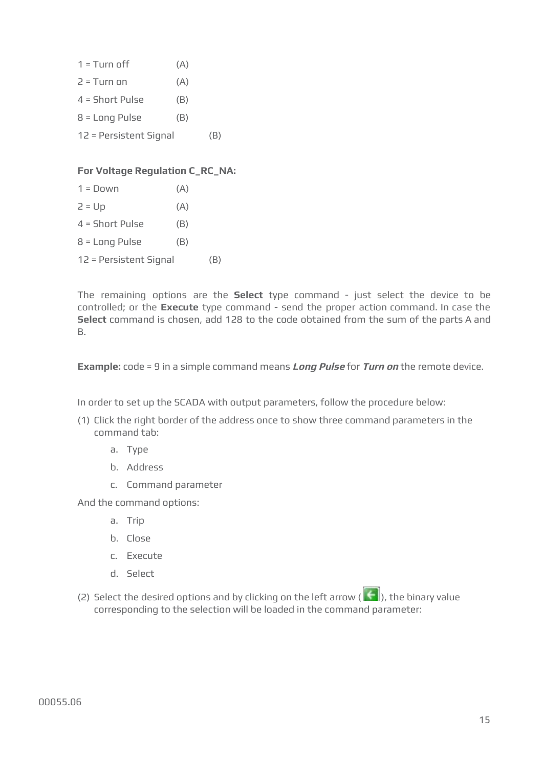| $1 = T$ urn off        | (A) |     |
|------------------------|-----|-----|
| $2 = T$ urn on         | (A) |     |
| $4 = Short$ Pulse      | (B) |     |
| $8 = Long$ Pulse       | (B) |     |
| 12 = Persistent Signal |     | (B) |

#### **For Voltage Regulation C\_RC\_NA:**

| $1 = \Box$ nwn         | (A) |     |
|------------------------|-----|-----|
| $2 = Up$               | (A) |     |
| $4 = Short$ Pulse      | (B) |     |
| $8 = Long$ Pulse       | (B) |     |
| 12 = Persistent Signal |     | (B) |
|                        |     |     |

The remaining options are the **Select** type command - just select the device to be controlled; or the **Execute** type command - send the proper action command. In case the **Select** command is chosen, add 128 to the code obtained from the sum of the parts A and B.

**Example:** code = 9 in a simple command means **Long Pulse** for **Turn on** the remote device.

In order to set up the SCADA with output parameters, follow the procedure below:

- (1) Click the right border of the address once to show three command parameters in the command tab:
	- a. Type
	- b. Address
	- c. Command parameter

And the command options:

- a. Trip
- b. Close
- c. Execute
- d. Select
- (2) Select the desired options and by clicking on the left arrow ( $\left|\leftarrow\right|$ ), the binary value corresponding to the selection will be loaded in the command parameter: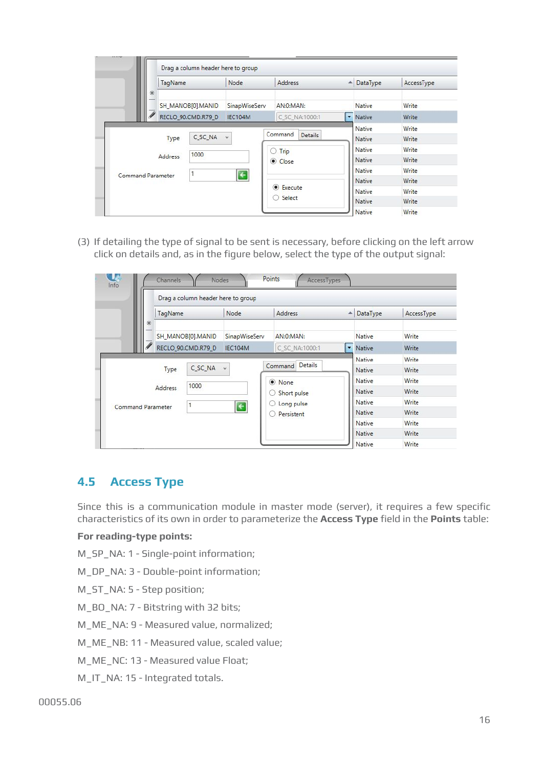|                          | TagName |                    | Node                  | Address                   | $\blacktriangle$ | DataType | AccessType |
|--------------------------|---------|--------------------|-----------------------|---------------------------|------------------|----------|------------|
| *                        |         | SH MANOB[0].MANID  | SinapWiseServ         | AN:0:MAN:                 |                  | Native   | Write      |
|                          |         | RECLO 90.CMD.R79 D | IEC104M               | C SC NA:1000:1            |                  | • Native | Write      |
|                          |         |                    |                       |                           |                  | Native   | Write      |
|                          | Type    | C SC NA            | $\checkmark$          | Command<br><b>Details</b> |                  | Native   | Write      |
| 1000<br>Address          |         |                    |                       | $O$ Trip                  |                  | Native   | Write      |
|                          |         | Close              |                       |                           | Native           | Write    |            |
| <b>Command Parameter</b> |         |                    | $\overline{\epsilon}$ |                           |                  | Native   | Write      |
|                          |         |                    |                       |                           |                  | Native   | Write      |
|                          |         |                    |                       | <b>Execute</b>            |                  | Native   | Write      |
|                          |         |                    |                       | Select<br>O               |                  | Native   | Write      |
|                          |         |                    |                       |                           |                  | Native   | Write      |

(3) If detailing the type of signal to be sent is necessary, before clicking on the left arrow click on details and, as in the figure below, select the type of the output signal:

|                          |              | Drag a column header here to group |                   |                    |                          |               |            |
|--------------------------|--------------|------------------------------------|-------------------|--------------------|--------------------------|---------------|------------|
|                          | TagName<br>* |                                    | Node              | Address            | $\Delta$                 | DataType      | AccessType |
|                          |              | SH MANOB[0].MANID                  | SinapWiseServ     | AN:0:MAN:          |                          | Native        | Write      |
|                          |              | RECLO 90.CMD.R79 D                 | IEC104M           | C SC NA:1000:1     | $\overline{\phantom{a}}$ | Native        | Write      |
|                          |              |                                    |                   |                    |                          | Native        | Write      |
| Type                     |              | C <sub>SC</sub> NA                 | $\vee$            | Details<br>Command |                          | Native        | Write      |
|                          |              | 1000                               |                   | O None             |                          | Native        | Write      |
|                          | Address      |                                    |                   | Short pulse        |                          | Native        | Write      |
| <b>Command Parameter</b> |              | 1                                  | $\left  \right. $ | Long pulse<br>O    |                          | Native        | Write      |
|                          |              |                                    |                   | Persistent<br>0    |                          | <b>Native</b> | Write      |
|                          |              |                                    |                   |                    |                          | Native        | Write      |
|                          |              |                                    |                   |                    |                          | Native        | Write      |
|                          |              |                                    |                   |                    |                          | Native        | Write      |

## <span id="page-15-0"></span>**4.5 Access Type**

Since this is a communication module in master mode (server), it requires a few specific characteristics of its own in order to parameterize the **Access Type** field in the **Points** table:

#### **For reading-type points:**

M\_SP\_NA: 1 - Single-point information;

M\_DP\_NA: 3 - Double-point information;

M\_ST\_NA: 5 - Step position;

M\_BO\_NA: 7 - Bitstring with 32 bits;

M\_ME\_NA: 9 - Measured value, normalized;

M\_ME\_NB: 11 - Measured value, scaled value;

M\_ME\_NC: 13 - Measured value Float;

M\_IT\_NA: 15 - Integrated totals.